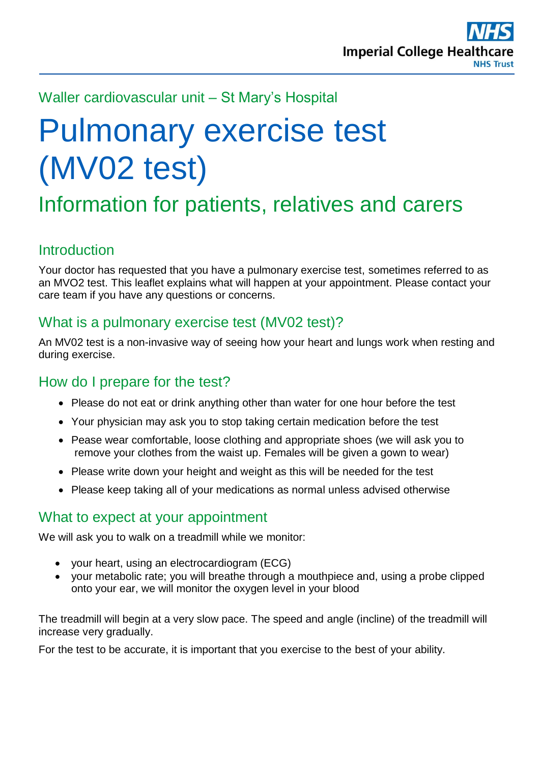

### Waller cardiovascular unit – St Mary's Hospital

# Pulmonary exercise test (MV02 test)

## Information for patients, relatives and carers

#### **Introduction**

Your doctor has requested that you have a pulmonary exercise test, sometimes referred to as an MVO2 test. This leaflet explains what will happen at your appointment. Please contact your care team if you have any questions or concerns.

### What is a pulmonary exercise test (MV02 test)?

An MV02 test is a non-invasive way of seeing how your heart and lungs work when resting and during exercise.

#### How do I prepare for the test?

- Please do not eat or drink anything other than water for one hour before the test
- Your physician may ask you to stop taking certain medication before the test
- Pease wear comfortable, loose clothing and appropriate shoes (we will ask you to remove your clothes from the waist up. Females will be given a gown to wear)
- Please write down your height and weight as this will be needed for the test
- Please keep taking all of your medications as normal unless advised otherwise

#### What to expect at your appointment

We will ask you to walk on a treadmill while we monitor:

- your heart, using an electrocardiogram (ECG)
- your metabolic rate; you will breathe through a mouthpiece and, using a probe clipped onto your ear, we will monitor the oxygen level in your blood

The treadmill will begin at a very slow pace. The speed and angle (incline) of the treadmill will increase very gradually.

For the test to be accurate, it is important that you exercise to the best of your ability.